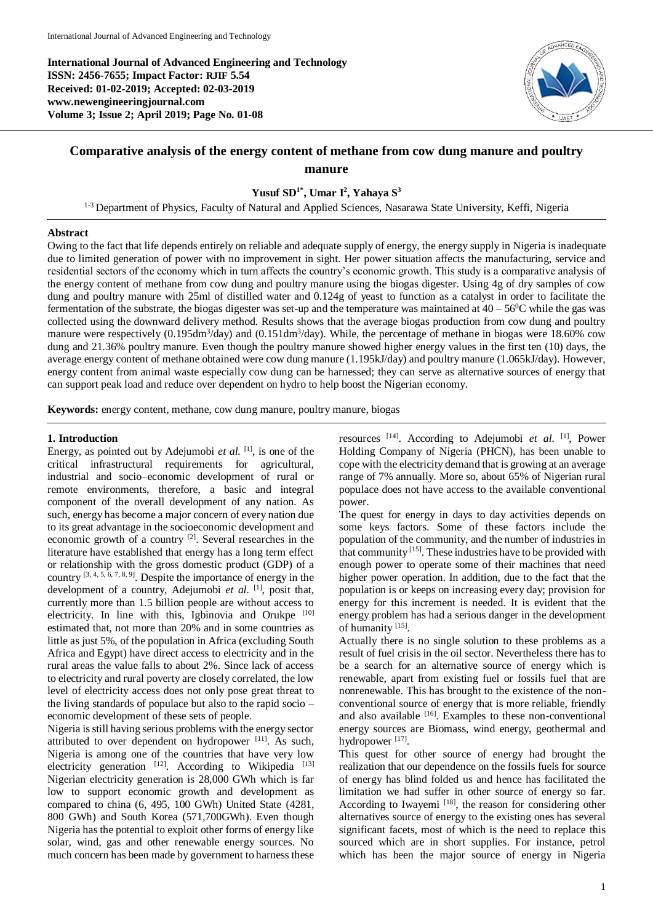**International Journal of Advanced Engineering and Technology ISSN: 2456-7655; Impact Factor: RJIF 5.54 Received: 01-02-2019; Accepted: 02-03-2019 www.newengineeringjournal.com Volume 3; Issue 2; April 2019; Page No. 01-08**



# **Comparative analysis of the energy content of methane from cow dung manure and poultry manure**

## **Yusuf SD1\* , Umar I<sup>2</sup> , Yahaya S<sup>3</sup>**

<sup>1-3</sup> Department of Physics, Faculty of Natural and Applied Sciences, Nasarawa State University, Keffi, Nigeria

## **Abstract**

Owing to the fact that life depends entirely on reliable and adequate supply of energy, the energy supply in Nigeria is inadequate due to limited generation of power with no improvement in sight. Her power situation affects the manufacturing, service and residential sectors of the economy which in turn affects the country's economic growth. This study is a comparative analysis of the energy content of methane from cow dung and poultry manure using the biogas digester. Using 4g of dry samples of cow dung and poultry manure with 25ml of distilled water and 0.124g of yeast to function as a catalyst in order to facilitate the fermentation of the substrate, the biogas digester was set-up and the temperature was maintained at  $40 - 56^{\circ}$ C while the gas was collected using the downward delivery method. Results shows that the average biogas production from cow dung and poultry manure were respectively (0.195dm<sup>3</sup>/day) and (0.151dm<sup>3</sup>/day). While, the percentage of methane in biogas were 18.60% cow dung and 21.36% poultry manure. Even though the poultry manure showed higher energy values in the first ten (10) days, the average energy content of methane obtained were cow dung manure (1.195kJ/day) and poultry manure (1.065kJ/day). However, energy content from animal waste especially cow dung can be harnessed; they can serve as alternative sources of energy that can support peak load and reduce over dependent on hydro to help boost the Nigerian economy.

**Keywords:** energy content, methane, cow dung manure, poultry manure, biogas

## **1. Introduction**

Energy, as pointed out by Adejumobi *et al.* <sup>[1]</sup>, is one of the critical infrastructural requirements for agricultural, industrial and socio–economic development of rural or remote environments, therefore, a basic and integral component of the overall development of any nation. As such, energy has become a major concern of every nation due to its great advantage in the socioeconomic development and economic growth of a country [2]. Several researches in the literature have established that energy has a long term effect or relationship with the gross domestic product (GDP) of a country  $[3, 4, 5, 6, 7, 8, 9]$ . Despite the importance of energy in the development of a country, Adejumobi *et al.* [1], posit that, currently more than 1.5 billion people are without access to electricity. In line with this, Igbinovia and Orukpe [10] estimated that, not more than 20% and in some countries as little as just 5%, of the population in Africa (excluding South Africa and Egypt) have direct access to electricity and in the rural areas the value falls to about 2%. Since lack of access to electricity and rural poverty are closely correlated, the low level of electricity access does not only pose great threat to the living standards of populace but also to the rapid socio – economic development of these sets of people.

Nigeria is still having serious problems with the energy sector attributed to over dependent on hydropower [11]. As such, Nigeria is among one of the countries that have very low electricity generation  $^{[12]}$ . According to Wikipedia  $^{[13]}$ Nigerian electricity generation is 28,000 GWh which is far low to support economic growth and development as compared to china (6, 495, 100 GWh) United State (4281, 800 GWh) and South Korea (571,700GWh). Even though Nigeria has the potential to exploit other forms of energy like solar, wind, gas and other renewable energy sources. No much concern has been made by government to harness these

resources [14]. According to Adejumobi *et al.* [1] , Power Holding Company of Nigeria (PHCN), has been unable to cope with the electricity demand that is growing at an average range of 7% annually. More so, about 65% of Nigerian rural populace does not have access to the available conventional power.

The quest for energy in days to day activities depends on some keys factors. Some of these factors include the population of the community, and the number of industries in that community  $^{[15]}$ . These industries have to be provided with enough power to operate some of their machines that need higher power operation. In addition, due to the fact that the population is or keeps on increasing every day; provision for energy for this increment is needed. It is evident that the energy problem has had a serious danger in the development of humanity [15].

Actually there is no single solution to these problems as a result of fuel crisis in the oil sector. Nevertheless there has to be a search for an alternative source of energy which is renewable, apart from existing fuel or fossils fuel that are nonrenewable. This has brought to the existence of the nonconventional source of energy that is more reliable, friendly and also available  $[16]$ . Examples to these non-conventional energy sources are Biomass, wind energy, geothermal and hydropower<sup>[17]</sup>.

This quest for other source of energy had brought the realization that our dependence on the fossils fuels for source of energy has blind folded us and hence has facilitated the limitation we had suffer in other source of energy so far. According to Iwayemi  $^{[18]}$ , the reason for considering other alternatives source of energy to the existing ones has several significant facets, most of which is the need to replace this sourced which are in short supplies. For instance, petrol which has been the major source of energy in Nigeria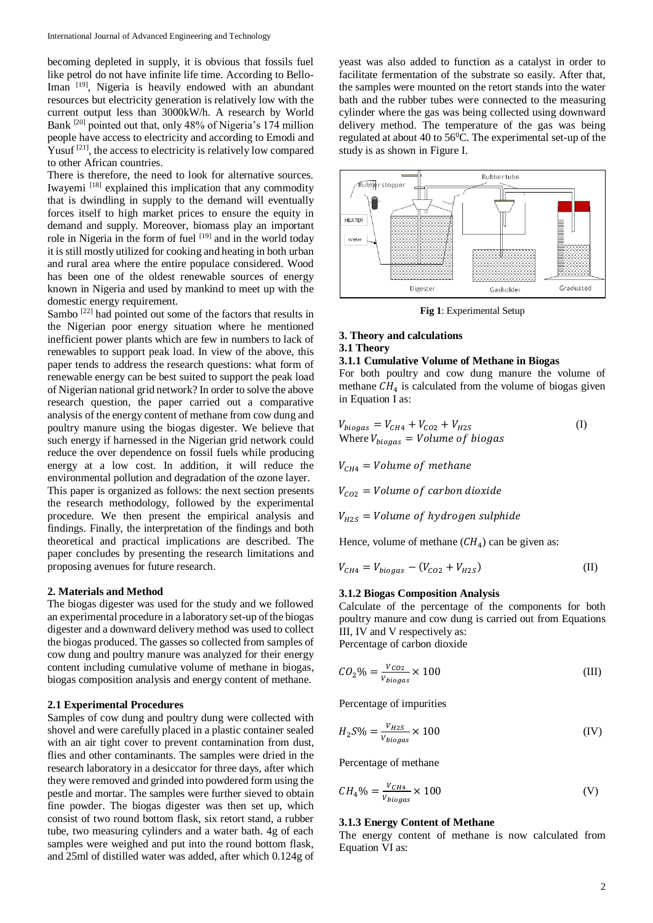becoming depleted in supply, it is obvious that fossils fuel like petrol do not have infinite life time. According to Bello-Iman [19], Nigeria is heavily endowed with an abundant resources but electricity generation is relatively low with the current output less than 3000kW/h. A research by World Bank [20] pointed out that, only 48% of Nigeria's 174 million people have access to electricity and according to Emodi and Yusuf<sup>[21]</sup>, the access to electricity is relatively low compared to other African countries.

There is therefore, the need to look for alternative sources. Iwayemi [18] explained this implication that any commodity that is dwindling in supply to the demand will eventually forces itself to high market prices to ensure the equity in demand and supply. Moreover, biomass play an important role in Nigeria in the form of fuel [19] and in the world today it is still mostly utilized for cooking and heating in both urban and rural area where the entire populace considered. Wood has been one of the oldest renewable sources of energy known in Nigeria and used by mankind to meet up with the domestic energy requirement.

Sambo<sup>[22]</sup> had pointed out some of the factors that results in the Nigerian poor energy situation where he mentioned inefficient power plants which are few in numbers to lack of renewables to support peak load. In view of the above, this paper tends to address the research questions: what form of renewable energy can be best suited to support the peak load of Nigerian national grid network? In order to solve the above research question, the paper carried out a comparative analysis of the energy content of methane from cow dung and poultry manure using the biogas digester. We believe that such energy if harnessed in the Nigerian grid network could reduce the over dependence on fossil fuels while producing energy at a low cost. In addition, it will reduce the environmental pollution and degradation of the ozone layer. This paper is organized as follows: the next section presents the research methodology, followed by the experimental procedure. We then present the empirical analysis and findings. Finally, the interpretation of the findings and both theoretical and practical implications are described. The paper concludes by presenting the research limitations and proposing avenues for future research.

#### **2. Materials and Method**

The biogas digester was used for the study and we followed an experimental procedure in a laboratory set-up of the biogas digester and a downward delivery method was used to collect the biogas produced. The gasses so collected from samples of cow dung and poultry manure was analyzed for their energy content including cumulative volume of methane in biogas, biogas composition analysis and energy content of methane.

## **2.1 Experimental Procedures**

Samples of cow dung and poultry dung were collected with shovel and were carefully placed in a plastic container sealed with an air tight cover to prevent contamination from dust, flies and other contaminants. The samples were dried in the research laboratory in a desiccator for three days, after which they were removed and grinded into powdered form using the pestle and mortar. The samples were further sieved to obtain fine powder. The biogas digester was then set up, which consist of two round bottom flask, six retort stand, a rubber tube, two measuring cylinders and a water bath. 4g of each samples were weighed and put into the round bottom flask, and 25ml of distilled water was added, after which 0.124g of

yeast was also added to function as a catalyst in order to facilitate fermentation of the substrate so easily. After that, the samples were mounted on the retort stands into the water bath and the rubber tubes were connected to the measuring cylinder where the gas was being collected using downward delivery method. The temperature of the gas was being regulated at about 40 to  $56^{\circ}$ C. The experimental set-up of the study is as shown in Figure I.



**Fig 1**: Experimental Setup

## **3. Theory and calculations 3.1 Theory**

#### **3.1.1 Cumulative Volume of Methane in Biogas**

For both poultry and cow dung manure the volume of methane  $CH_4$  is calculated from the volume of biogas given in Equation I as:

$$
V_{biogas} = V_{CH4} + V_{CO2} + V_{H2S}
$$
  
Where  $V_{biogas} = Volume of biogas$  (I)

 $V_{CH4} = Volume of$  methane

 $V_{CO2}$  = Volume of carbon dioxide

 $V_{H2S}$  = Volume of hydrogen sulphide

Hence, volume of methane  $(H_4)$  can be given as:

$$
V_{CH4} = V_{biogas} - (V_{CO2} + V_{H2S})
$$
 (II)

#### **3.1.2 Biogas Composition Analysis**

Calculate of the percentage of the components for both poultry manure and cow dung is carried out from Equations III, IV and V respectively as: Percentage of carbon dioxide

$$
CO_2\% = \frac{V_{CO2}}{V_{biogas}} \times 100\tag{III}
$$

Percentage of impurities

$$
H_2 S\% = \frac{V_{H2S}}{V_{biogas}} \times 100\tag{IV}
$$

Percentage of methane

$$
CH_4\% = \frac{V_{CH4}}{V_{biogas}} \times 100\tag{V}
$$

#### **3.1.3 Energy Content of Methane**

The energy content of methane is now calculated from Equation VI as: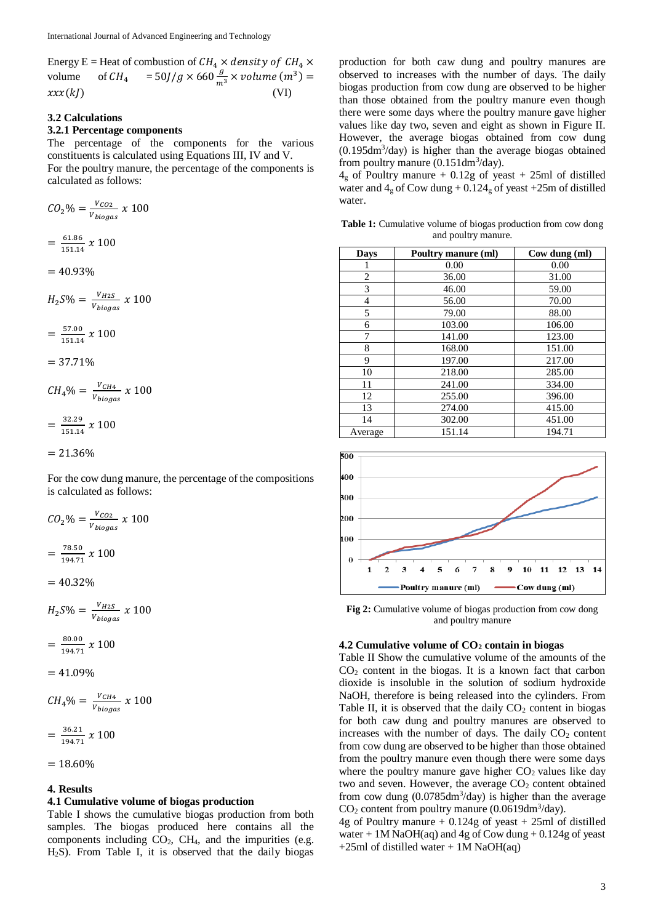Energy E = Heat of combustion of  $CH_4 \times density$  of  $CH_4 \times$ volume of  $CH_4 = 50J/g \times 660 \frac{g}{m^3} \times volume \ (m^3) =$  $xxx(kI)$  (VI)

## **3.2 Calculations**

## **3.2.1 Percentage components**

The percentage of the components for the various constituents is calculated using Equations III, IV and V. For the poultry manure, the percentage of the components is calculated as follows:

$$
CO_2\% = \frac{V_{CO2}}{V_{biogas}} \times 100
$$
  
=  $\frac{61.86}{151.14} \times 100$   
= 40.93%  

$$
H_2S\% = \frac{V_{H2S}}{V_{biogas}} \times 100
$$
  
=  $\frac{57.00}{151.14} \times 100$   
= 37.71%  

$$
CH_4\% = \frac{V_{CH4}}{V_{biogas}} \times 100
$$
  
=  $\frac{32.29}{151.14} \times 100$   
= 21.36%  
For the cow dump manure. th

For the cow dung manure, the percentage of the compositions is calculated as follows:

$$
CO_2\% = \frac{V_{CO2}}{V_{biogas}} \times 100
$$

$$
= \frac{78.50}{194.71} \times 100
$$

$$
= 40.32\%
$$

 $H_2 S\% = \frac{V_{H2S}}{V_{H2S}}$  $\frac{v_{H2S}}{v_{biogas}}$  x 100

$$
=\frac{80.00}{194.71} \; x \; 100
$$

$$
=41.09\%
$$

 $CH_4\% = \frac{V_{CH4}}{V_{H4}}$  $\frac{VCH4}{V_{biggas}}$  x 100

$$
=\frac{36.21}{194.71} \times 100
$$

 $= 18.60\%$ 

#### **4. Results**

#### **4.1 Cumulative volume of biogas production**

Table I shows the cumulative biogas production from both samples. The biogas produced here contains all the components including  $CO<sub>2</sub>$ ,  $CH<sub>4</sub>$ , and the impurities (e.g. H2S). From Table I, it is observed that the daily biogas

production for both caw dung and poultry manures are observed to increases with the number of days. The daily biogas production from cow dung are observed to be higher than those obtained from the poultry manure even though there were some days where the poultry manure gave higher values like day two, seven and eight as shown in Figure II. However, the average biogas obtained from cow dung (0.195dm<sup>3</sup> /day) is higher than the average biogas obtained from poultry manure  $(0.151 \text{dm}^3/\text{day})$ .

 $4_g$  of Poultry manure + 0.12g of yeast + 25ml of distilled water and  $4_g$  of Cow dung + 0.12 $4_g$  of yeast +25m of distilled water.

**Table 1:** Cumulative volume of biogas production from cow dong and poultry manure.

| <b>Days</b> | Poultry manure (ml) | Cow dung (ml) |
|-------------|---------------------|---------------|
|             | 0.00                | 0.00          |
| 2           | 36.00               | 31.00         |
| 3           | 46.00               | 59.00         |
| 4           | 56.00               | 70.00         |
| 5           | 79.00               | 88.00         |
| 6           | 103.00              | 106.00        |
| 7           | 141.00              | 123.00        |
| 8           | 168.00              | 151.00        |
| 9           | 197.00              | 217.00        |
| 10          | 218.00              | 285.00        |
| 11          | 241.00              | 334.00        |
| 12          | 255.00              | 396.00        |
| 13          | 274.00              | 415.00        |
| 14          | 302.00              | 451.00        |
| Average     | 151.14              | 194.71        |



**Fig 2:** Cumulative volume of biogas production from cow dong and poultry manure

## **4.2 Cumulative volume of CO<sup>2</sup> contain in biogas**

Table II Show the cumulative volume of the amounts of the  $CO<sub>2</sub>$  content in the biogas. It is a known fact that carbon dioxide is insoluble in the solution of sodium hydroxide NaOH, therefore is being released into the cylinders. From Table II, it is observed that the daily  $CO<sub>2</sub>$  content in biogas for both caw dung and poultry manures are observed to increases with the number of days. The daily  $CO<sub>2</sub>$  content from cow dung are observed to be higher than those obtained from the poultry manure even though there were some days where the poultry manure gave higher  $CO<sub>2</sub>$  values like day two and seven. However, the average  $CO<sub>2</sub>$  content obtained from cow dung  $(0.0785 \text{dm}^3/\text{day})$  is higher than the average  $CO<sub>2</sub>$  content from poultry manure (0.0619dm<sup>3</sup>/day).

4g of Poultry manure  $+$  0.124g of yeast  $+$  25ml of distilled water  $+1M$  NaOH(aq) and 4g of Cow dung  $+0.124g$  of yeast  $+25$ ml of distilled water  $+1M$  NaOH(aq)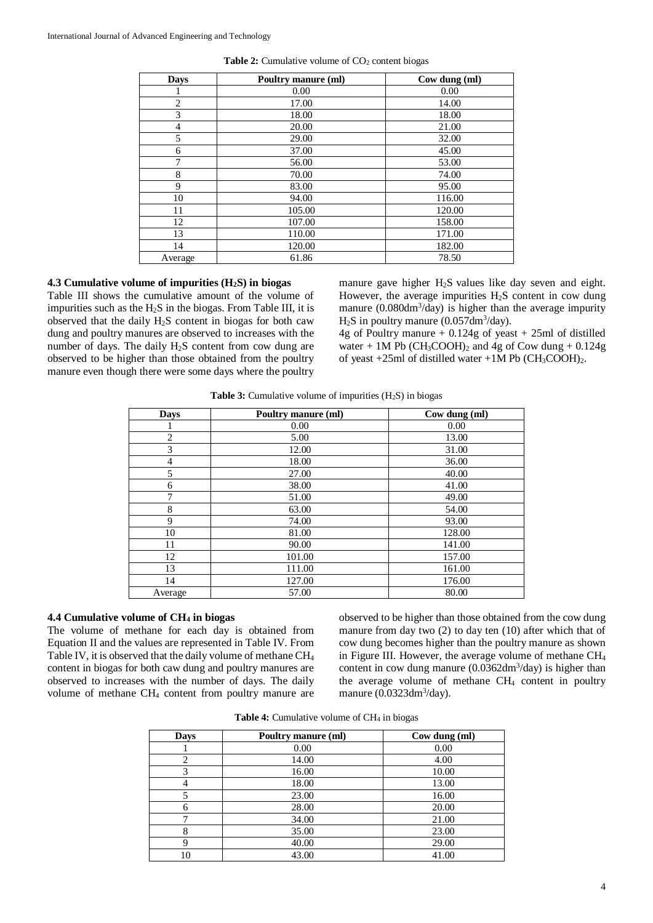| <b>Days</b>    | Poultry manure (ml) | Cow dung (ml) |
|----------------|---------------------|---------------|
|                | 0.00                | 0.00          |
| $\overline{2}$ | 17.00               | 14.00         |
| 3              | 18.00               | 18.00         |
| $\overline{4}$ | 20.00               | 21.00         |
| 5              | 29.00               | 32.00         |
| 6              | 37.00               | 45.00         |
| 7              | 56.00               | 53.00         |
| 8              | 70.00               | 74.00         |
| 9              | 83.00               | 95.00         |
| 10             | 94.00               | 116.00        |
| 11             | 105.00              | 120.00        |
| 12             | 107.00              | 158.00        |
| 13             | 110.00              | 171.00        |
| 14             | 120.00              | 182.00        |
| Average        | 61.86               | 78.50         |

**Table 2:** Cumulative volume of CO<sub>2</sub> content biogas

## **4.3 Cumulative volume of impurities (H2S) in biogas**

Table III shows the cumulative amount of the volume of impurities such as the H2S in the biogas. From Table III, it is observed that the daily H2S content in biogas for both caw dung and poultry manures are observed to increases with the number of days. The daily H2S content from cow dung are observed to be higher than those obtained from the poultry manure even though there were some days where the poultry

manure gave higher  $H_2S$  values like day seven and eight. However, the average impurities  $H_2S$  content in cow dung manure (0.080dm<sup>3</sup>/day) is higher than the average impurity  $H<sub>2</sub>S$  in poultry manure (0.057 $dm<sup>3</sup>/day$ ).

4g of Poultry manure + 0.124g of yeast + 25ml of distilled water + 1M Pb  $(CH_3COOH)_2$  and 4g of Cow dung + 0.124g of yeast +25ml of distilled water +1M Pb  $(CH_3COOH)_2$ .

**Table 3:** Cumulative volume of impurities (H2S) in biogas

| <b>Days</b> | Poultry manure (ml) | Cow dung (ml) |
|-------------|---------------------|---------------|
|             | 0.00                | 0.00          |
| 2           | 5.00                | 13.00         |
| 3           | 12.00               | 31.00         |
| 4           | 18.00               | 36.00         |
| 5           | 27.00               | 40.00         |
| 6           | 38.00               | 41.00         |
| 7           | 51.00               | 49.00         |
| 8           | 63.00               | 54.00         |
| 9           | 74.00               | 93.00         |
| 10          | 81.00               | 128.00        |
| 11          | 90.00               | 141.00        |
| 12          | 101.00              | 157.00        |
| 13          | 111.00              | 161.00        |
| 14          | 127.00              | 176.00        |
| Average     | 57.00               | 80.00         |

## **4.4 Cumulative volume of CH<sup>4</sup> in biogas**

The volume of methane for each day is obtained from Equation II and the values are represented in Table IV. From Table IV, it is observed that the daily volume of methane CH<sup>4</sup> content in biogas for both caw dung and poultry manures are observed to increases with the number of days. The daily volume of methane CH<sup>4</sup> content from poultry manure are

observed to be higher than those obtained from the cow dung manure from day two (2) to day ten (10) after which that of cow dung becomes higher than the poultry manure as shown in Figure III. However, the average volume of methane CH<sup>4</sup> content in cow dung manure  $(0.0362dm<sup>3</sup>/day)$  is higher than the average volume of methane CH<sup>4</sup> content in poultry manure  $(0.0323 \text{dm}^3/\text{day})$ .

|  |  | <b>Table 4:</b> Cumulative volume of CH <sub>4</sub> in biogas |  |  |  |  |  |
|--|--|----------------------------------------------------------------|--|--|--|--|--|
|--|--|----------------------------------------------------------------|--|--|--|--|--|

| <b>Days</b> | Poultry manure (ml) | Cow dung (ml) |
|-------------|---------------------|---------------|
|             | 0.00                | 0.00          |
| ↑           | 14.00               | 4.00          |
| 3           | 16.00               | 10.00         |
|             | 18.00               | 13.00         |
|             | 23.00               | 16.00         |
| 6           | 28.00               | 20.00         |
|             | 34.00               | 21.00         |
| 8           | 35.00               | 23.00         |
| q           | 40.00               | 29.00         |
| 10          | 43.00               | 41.00         |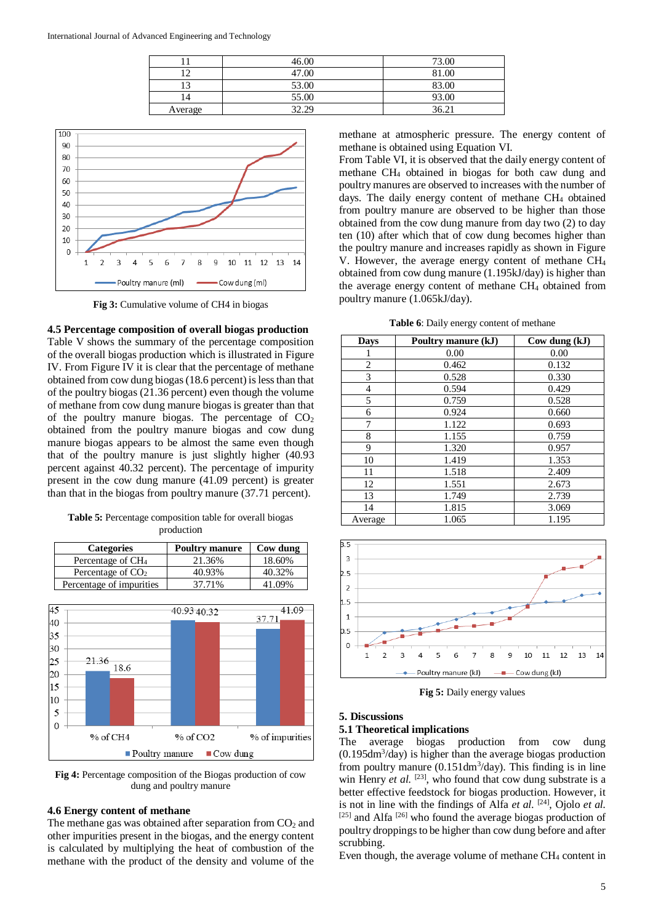|         | 46.00 | 73.00 |
|---------|-------|-------|
|         | 47.00 | 81.00 |
|         | 53.00 | 83.00 |
|         | 55.00 | 93.00 |
| Average | 32.29 | 36.21 |



**Fig 3:** Cumulative volume of CH4 in biogas

**4.5 Percentage composition of overall biogas production** Table V shows the summary of the percentage composition of the overall biogas production which is illustrated in Figure IV. From Figure IV it is clear that the percentage of methane obtained from cow dung biogas (18.6 percent) is less than that of the poultry biogas (21.36 percent) even though the volume of methane from cow dung manure biogas is greater than that of the poultry manure biogas. The percentage of  $CO<sub>2</sub>$ obtained from the poultry manure biogas and cow dung manure biogas appears to be almost the same even though that of the poultry manure is just slightly higher (40.93 percent against 40.32 percent). The percentage of impurity present in the cow dung manure (41.09 percent) is greater than that in the biogas from poultry manure (37.71 percent).

**Table 5:** Percentage composition table for overall biogas production

| <b>Categories</b>             | <b>Poultry manure</b> | Cow dung |
|-------------------------------|-----------------------|----------|
| Percentage of CH <sub>4</sub> | 21.36%                | 18.60%   |
| Percentage of $CO2$           | 40.93%                | 40.32%   |
| Percentage of impurities      | 37.71%                | 41.09%   |



**Fig 4:** Percentage composition of the Biogas production of cow dung and poultry manure

#### **4.6 Energy content of methane**

The methane gas was obtained after separation from  $CO<sub>2</sub>$  and other impurities present in the biogas, and the energy content is calculated by multiplying the heat of combustion of the methane with the product of the density and volume of the

methane at atmospheric pressure. The energy content of methane is obtained using Equation VI.

From Table VI, it is observed that the daily energy content of methane CH<sup>4</sup> obtained in biogas for both caw dung and poultry manures are observed to increases with the number of days. The daily energy content of methane CH<sub>4</sub> obtained from poultry manure are observed to be higher than those obtained from the cow dung manure from day two (2) to day ten (10) after which that of cow dung becomes higher than the poultry manure and increases rapidly as shown in Figure V. However, the average energy content of methane CH<sup>4</sup> obtained from cow dung manure (1.195kJ/day) is higher than the average energy content of methane CH<sup>4</sup> obtained from poultry manure (1.065kJ/day).

**Table 6**: Daily energy content of methane

| Days           | Poultry manure (kJ) | $Cow$ dung $(kJ)$ |
|----------------|---------------------|-------------------|
|                | 0.00                | 0.00              |
| $\overline{c}$ | 0.462               | 0.132             |
| 3              | 0.528               | 0.330             |
| $\overline{4}$ | 0.594               | 0.429             |
| 5              | 0.759               | 0.528             |
| 6              | 0.924               | 0.660             |
| 7              | 1.122               | 0.693             |
| 8              | 1.155               | 0.759             |
| 9              | 1.320               | 0.957             |
| 10             | 1.419               | 1.353             |
| 11             | 1.518               | 2.409             |
| 12             | 1.551               | 2.673             |
| 13             | 1.749               | 2.739             |
| 14             | 1.815               | 3.069             |
| Average        | 1.065               | 1.195             |



**Fig 5:** Daily energy values

#### **5. Discussions**

## **5.1 Theoretical implications**

The average biogas production from cow dung (0.195dm<sup>3</sup> /day) is higher than the average biogas production from poultry manure  $(0.151 \text{dm}^3/\text{day})$ . This finding is in line win Henry *et al.* <sup>[23]</sup>, who found that cow dung substrate is a better effective feedstock for biogas production. However, it is not in line with the findings of Alfa *et al.* [24], Ojolo *et al.*  $[25]$  and Alfa  $[26]$  who found the average biogas production of poultry droppings to be higher than cow dung before and after scrubbing.

Even though, the average volume of methane CH<sub>4</sub> content in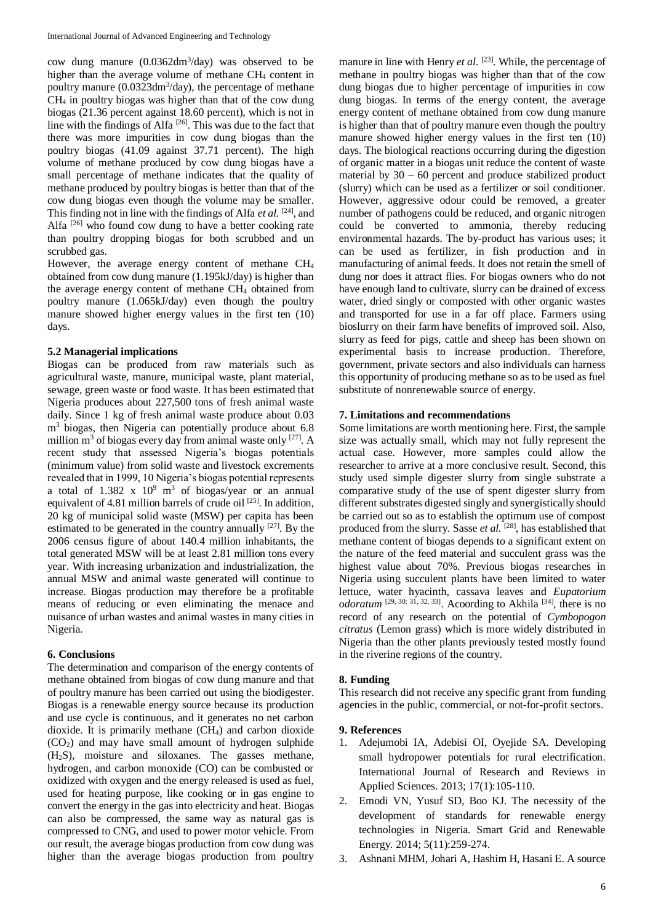cow dung manure (0.0362dm<sup>3</sup> /day) was observed to be higher than the average volume of methane CH<sub>4</sub> content in poultry manure (0.0323dm<sup>3</sup>/day), the percentage of methane CH<sup>4</sup> in poultry biogas was higher than that of the cow dung biogas (21.36 percent against 18.60 percent), which is not in line with the findings of Alfa [26]. This was due to the fact that there was more impurities in cow dung biogas than the poultry biogas (41.09 against 37.71 percent). The high volume of methane produced by cow dung biogas have a small percentage of methane indicates that the quality of methane produced by poultry biogas is better than that of the cow dung biogas even though the volume may be smaller. This finding not in line with the findings of Alfa *et al.* [24], and Alfa <sup>[26]</sup> who found cow dung to have a better cooking rate than poultry dropping biogas for both scrubbed and un scrubbed gas.

However, the average energy content of methane CH<sup>4</sup> obtained from cow dung manure (1.195kJ/day) is higher than the average energy content of methane CH<sup>4</sup> obtained from poultry manure (1.065kJ/day) even though the poultry manure showed higher energy values in the first ten (10) days.

## **5.2 Managerial implications**

Biogas can be produced from raw materials such as agricultural waste, manure, municipal waste, plant material, sewage, green waste or food waste. It has been estimated that Nigeria produces about 227,500 tons of fresh animal waste daily. Since 1 kg of fresh animal waste produce about 0.03 m<sup>3</sup> biogas, then Nigeria can potentially produce about 6.8 million  $m^3$  of biogas every day from animal waste only  $[27]$ . A recent study that assessed Nigeria's biogas potentials (minimum value) from solid waste and livestock excrements revealed that in 1999, 10 Nigeria's biogas potential represents a total of  $1.382 \times 10^9$  m<sup>3</sup> of biogas/year or an annual equivalent of 4.81 million barrels of crude oil  $[25]$ . In addition, 20 kg of municipal solid waste (MSW) per capita has been estimated to be generated in the country annually  $[27]$ . By the 2006 census figure of about 140.4 million inhabitants, the total generated MSW will be at least 2.81 million tons every year. With increasing urbanization and industrialization, the annual MSW and animal waste generated will continue to increase. Biogas production may therefore be a profitable means of reducing or even eliminating the menace and nuisance of urban wastes and animal wastes in many cities in Nigeria.

## **6. Conclusions**

The determination and comparison of the energy contents of methane obtained from biogas of cow dung manure and that of poultry manure has been carried out using the biodigester. Biogas is a renewable energy source because its production and use cycle is continuous, and it generates no net carbon dioxide. It is primarily methane (CH4) and carbon dioxide  $(CO<sub>2</sub>)$  and may have small amount of hydrogen sulphide (H2S), moisture and siloxanes. The gasses methane, hydrogen, and carbon monoxide (CO) can be combusted or oxidized with oxygen and the energy released is used as fuel, used for heating purpose, like cooking or in gas engine to convert the energy in the gas into electricity and heat. Biogas can also be compressed, the same way as natural gas is compressed to CNG, and used to power motor vehicle. From our result, the average biogas production from cow dung was higher than the average biogas production from poultry

manure in line with Henry *et al.* <sup>[23]</sup>. While, the percentage of methane in poultry biogas was higher than that of the cow dung biogas due to higher percentage of impurities in cow dung biogas. In terms of the energy content, the average energy content of methane obtained from cow dung manure is higher than that of poultry manure even though the poultry manure showed higher energy values in the first ten (10) days. The biological reactions occurring during the digestion of organic matter in a biogas unit reduce the content of waste material by  $30 - 60$  percent and produce stabilized product (slurry) which can be used as a fertilizer or soil conditioner. However, aggressive odour could be removed, a greater number of pathogens could be reduced, and organic nitrogen could be converted to ammonia, thereby reducing environmental hazards. The by-product has various uses; it can be used as fertilizer, in fish production and in manufacturing of animal feeds. It does not retain the smell of dung nor does it attract flies. For biogas owners who do not have enough land to cultivate, slurry can be drained of excess water, dried singly or composted with other organic wastes and transported for use in a far off place. Farmers using bioslurry on their farm have benefits of improved soil. Also, slurry as feed for pigs, cattle and sheep has been shown on experimental basis to increase production. Therefore, government, private sectors and also individuals can harness this opportunity of producing methane so as to be used as fuel substitute of nonrenewable source of energy.

## **7. Limitations and recommendations**

Some limitations are worth mentioning here. First, the sample size was actually small, which may not fully represent the actual case. However, more samples could allow the researcher to arrive at a more conclusive result. Second, this study used simple digester slurry from single substrate a comparative study of the use of spent digester slurry from different substrates digested singly and synergistically should be carried out so as to establish the optimum use of compost produced from the slurry. Sasse *et al.* <sup>[28]</sup>, has established that methane content of biogas depends to a significant extent on the nature of the feed material and succulent grass was the highest value about 70%. Previous biogas researches in Nigeria using succulent plants have been limited to water lettuce, water hyacinth, cassava leaves and *Eupatorium odoratum*  $[29, 30; 31, 32, 33]$ . Acoording to Akhila  $[34]$ , there is no record of any research on the potential of *Cymbopogon citratus* (Lemon grass) which is more widely distributed in Nigeria than the other plants previously tested mostly found in the riverine regions of the country.

## **8. Funding**

This research did not receive any specific grant from funding agencies in the public, commercial, or not-for-profit sectors.

#### **9. References**

- 1. Adejumobi IA, Adebisi OI, Oyejide SA. Developing small hydropower potentials for rural electrification. International Journal of Research and Reviews in Applied Sciences. 2013; 17(1):105-110.
- 2. Emodi VN, Yusuf SD, Boo KJ. The necessity of the development of standards for renewable energy technologies in Nigeria. Smart Grid and Renewable Energy. 2014; 5(11):259-274.
- 3. Ashnani MHM, Johari A, Hashim H, Hasani E. A source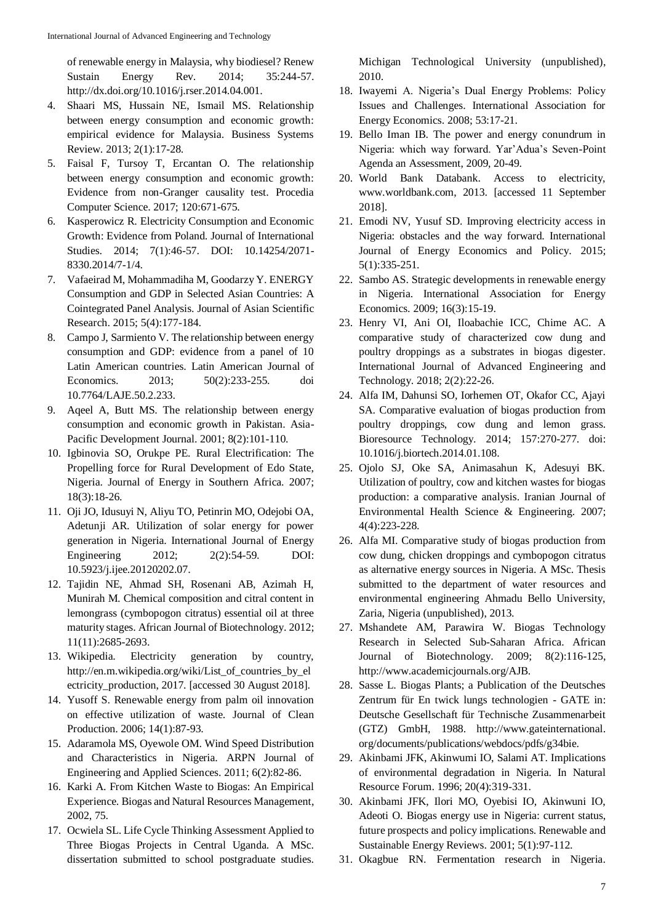of renewable energy in Malaysia, why biodiesel? Renew Sustain Energy Rev. 2014; 35:244-57. http://dx.doi.org/10.1016/j.rser.2014.04.001.

- 4. Shaari MS, Hussain NE, Ismail MS. Relationship between energy consumption and economic growth: empirical evidence for Malaysia. Business Systems Review. 2013; 2(1):17-28.
- 5. Faisal F, Tursoy T, Ercantan O. The relationship between energy consumption and economic growth: Evidence from non-Granger causality test. Procedia Computer Science. 2017; 120:671-675.
- 6. Kasperowicz R. Electricity Consumption and Economic Growth: Evidence from Poland. Journal of International Studies. 2014; 7(1):46-57. DOI: 10.14254/2071-8330.2014/7-1/4.
- 7. Vafaeirad M, Mohammadiha M, Goodarzy Y. ENERGY Consumption and GDP in Selected Asian Countries: A Cointegrated Panel Analysis. Journal of Asian Scientific Research. 2015; 5(4):177-184.
- 8. Campo J, Sarmiento V. The relationship between energy consumption and GDP: evidence from a panel of 10 Latin American countries. Latin American Journal of Economics. 2013; 50(2):233-255. doi 10.7764/LAJE.50.2.233.
- 9. Aqeel A, Butt MS. The relationship between energy consumption and economic growth in Pakistan. Asia-Pacific Development Journal. 2001; 8(2):101-110.
- 10. Igbinovia SO, Orukpe PE. Rural Electrification: The Propelling force for Rural Development of Edo State, Nigeria. Journal of Energy in Southern Africa. 2007; 18(3):18-26.
- 11. Oji JO, Idusuyi N, Aliyu TO, Petinrin MO, Odejobi OA, Adetunji AR. Utilization of solar energy for power generation in Nigeria. International Journal of Energy Engineering 2012; 2(2):54-59. DOI: 10.5923/j.ijee.20120202.07.
- 12. Tajidin NE, Ahmad SH, Rosenani AB, Azimah H, Munirah M. Chemical composition and citral content in lemongrass (cymbopogon citratus) essential oil at three maturity stages. African Journal of Biotechnology. 2012; 11(11):2685-2693.
- 13. Wikipedia. Electricity generation by country, http://en.m.wikipedia.org/wiki/List\_of\_countries\_by\_el ectricity production, 2017. [accessed 30 August 2018].
- 14. Yusoff S. Renewable energy from palm oil innovation on effective utilization of waste. Journal of Clean Production. 2006; 14(1):87-93.
- 15. Adaramola MS, Oyewole OM. Wind Speed Distribution and Characteristics in Nigeria. ARPN Journal of Engineering and Applied Sciences. 2011; 6(2):82-86.
- 16. Karki A. From Kitchen Waste to Biogas: An Empirical Experience. Biogas and Natural Resources Management, 2002, 75.
- 17. Ocwiela SL. Life Cycle Thinking Assessment Applied to Three Biogas Projects in Central Uganda. A MSc. dissertation submitted to school postgraduate studies.

Michigan Technological University (unpublished), 2010.

- 18. Iwayemi A. Nigeria's Dual Energy Problems: Policy Issues and Challenges. International Association for Energy Economics. 2008; 53:17-21.
- 19. Bello Iman IB. The power and energy conundrum in Nigeria: which way forward. Yar'Adua's Seven-Point Agenda an Assessment, 2009, 20-49.
- 20. World Bank Databank. Access to electricity, www.worldbank.com, 2013. [accessed 11 September 2018].
- 21. Emodi NV, Yusuf SD. Improving electricity access in Nigeria: obstacles and the way forward. International Journal of Energy Economics and Policy. 2015; 5(1):335-251.
- 22. Sambo AS. Strategic developments in renewable energy in Nigeria. International Association for Energy Economics. 2009; 16(3):15-19.
- 23. Henry VI, Ani OI, Iloabachie ICC, Chime AC. A comparative study of characterized cow dung and poultry droppings as a substrates in biogas digester. International Journal of Advanced Engineering and Technology. 2018; 2(2):22-26.
- 24. Alfa IM, Dahunsi SO, Iorhemen OT, Okafor CC, Ajayi SA. Comparative evaluation of biogas production from poultry droppings, cow dung and lemon grass. Bioresource Technology. 2014; 157:270-277. doi: 10.1016/j.biortech.2014.01.108.
- 25. Ojolo SJ, Oke SA, Animasahun K, Adesuyi BK. Utilization of poultry, cow and kitchen wastes for biogas production: a comparative analysis. Iranian Journal of Environmental Health Science & Engineering. 2007; 4(4):223-228.
- 26. Alfa MI. Comparative study of biogas production from cow dung, chicken droppings and cymbopogon citratus as alternative energy sources in Nigeria. A MSc. Thesis submitted to the department of water resources and environmental engineering Ahmadu Bello University, Zaria, Nigeria (unpublished), 2013.
- 27. Mshandete AM, Parawira W. Biogas Technology Research in Selected Sub-Saharan Africa. African Journal of Biotechnology. 2009; 8(2):116-125, http://www.academicjournals.org/AJB.
- 28. Sasse L. Biogas Plants; a Publication of the Deutsches Zentrum für En twick lungs technologien - GATE in: Deutsche Gesellschaft für Technische Zusammenarbeit (GTZ) GmbH, 1988. http://www.gateinternational. org/documents/publications/webdocs/pdfs/g34bie.
- 29. Akinbami JFK, Akinwumi IO, Salami AT. Implications of environmental degradation in Nigeria. In Natural Resource Forum. 1996; 20(4):319-331.
- 30. Akinbami JFK, Ilori MO, Oyebisi IO, Akinwuni IO, Adeoti O. Biogas energy use in Nigeria: current status, future prospects and policy implications. Renewable and Sustainable Energy Reviews. 2001; 5(1):97-112.
- 31. Okagbue RN. Fermentation research in Nigeria.